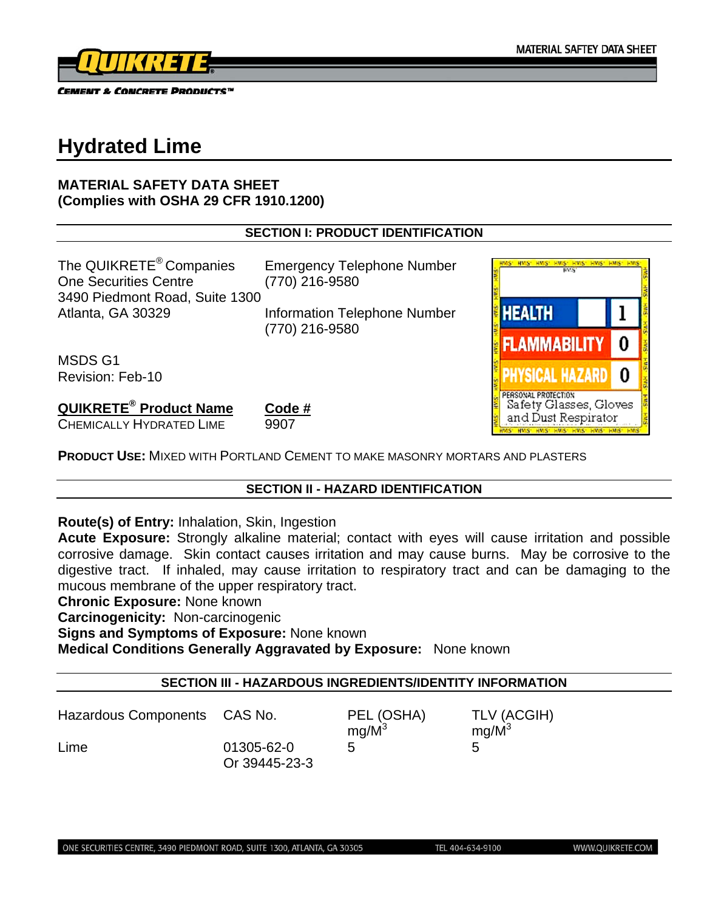

# **Hydrated Lime**

# **MATERIAL SAFETY DATA SHEET (Complies with OSHA 29 CFR 1910.1200)**

# **SECTION I: PRODUCT IDENTIFICATION**

The QUIKRETE<sup>®</sup> Companies Emergency Telephone Number One Securities Centre (770) 216-9580 3490 Piedmont Road, Suite 1300

Atlanta, GA 30329 Information Telephone Number (770) 216-9580

MSDS G1 Revision: Feb-10

**QUIKRETE® Product Name Code #** CHEMICALLY HYDRATED LIME 9907

**PRODUCT USE:** MIXED WITH PORTLAND CEMENT TO MAKE MASONRY MORTARS AND PLASTERS

# **SECTION II - HAZARD IDENTIFICATION**

**Route(s) of Entry:** Inhalation, Skin, Ingestion

**Acute Exposure:** Strongly alkaline material; contact with eyes will cause irritation and possible corrosive damage. Skin contact causes irritation and may cause burns. May be corrosive to the digestive tract. If inhaled, may cause irritation to respiratory tract and can be damaging to the mucous membrane of the upper respiratory tract.

**Chronic Exposure:** None known

**Carcinogenicity:** Non-carcinogenic

**Signs and Symptoms of Exposure:** None known

**Medical Conditions Generally Aggravated by Exposure:** None known

# **SECTION III - HAZARDOUS INGREDIENTS/IDENTITY INFORMATION**

Hazardous Components CAS No. PEL (OSHA) TLV (ACGIH)  $mg/M^3$  $mg/M^3$ Lime 01305-62-0 5 5 Or 39445-23-3

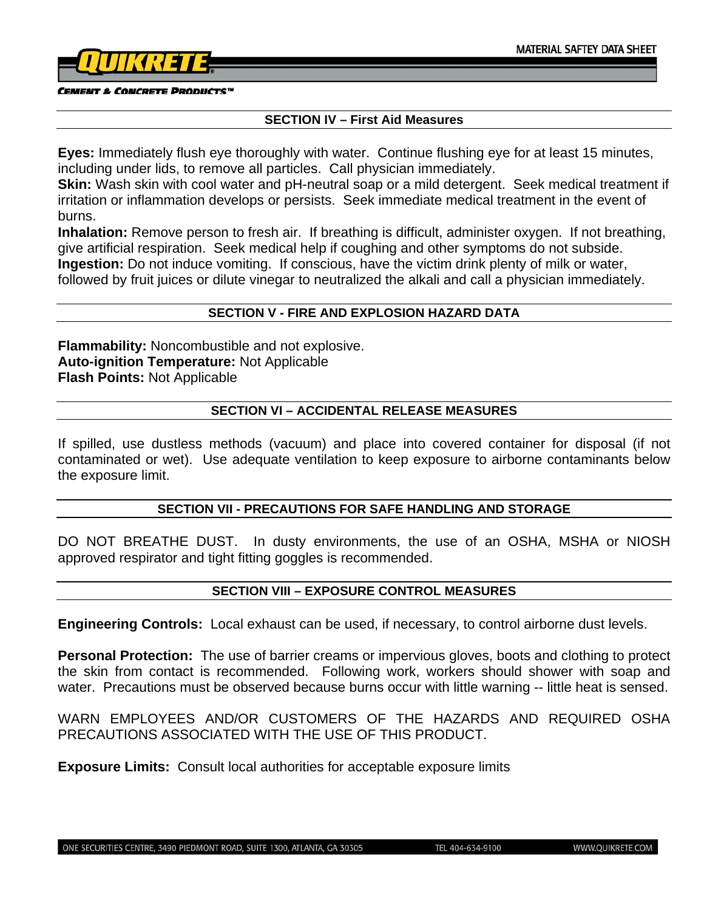

#### **CEMENT & CONCRETE PRODUCTS"**

#### **SECTION IV – First Aid Measures**

**Eyes:** Immediately flush eye thoroughly with water. Continue flushing eye for at least 15 minutes, including under lids, to remove all particles. Call physician immediately.

**Skin:** Wash skin with cool water and pH-neutral soap or a mild detergent. Seek medical treatment if irritation or inflammation develops or persists. Seek immediate medical treatment in the event of burns.

**Inhalation:** Remove person to fresh air. If breathing is difficult, administer oxygen. If not breathing, give artificial respiration. Seek medical help if coughing and other symptoms do not subside. **Ingestion:** Do not induce vomiting. If conscious, have the victim drink plenty of milk or water, followed by fruit juices or dilute vinegar to neutralized the alkali and call a physician immediately.

#### **SECTION V - FIRE AND EXPLOSION HAZARD DATA**

**Flammability:** Noncombustible and not explosive. **Auto-ignition Temperature:** Not Applicable **Flash Points:** Not Applicable

#### **SECTION VI – ACCIDENTAL RELEASE MEASURES**

If spilled, use dustless methods (vacuum) and place into covered container for disposal (if not contaminated or wet). Use adequate ventilation to keep exposure to airborne contaminants below the exposure limit.

#### **SECTION VII - PRECAUTIONS FOR SAFE HANDLING AND STORAGE**

DO NOT BREATHE DUST. In dusty environments, the use of an OSHA, MSHA or NIOSH approved respirator and tight fitting goggles is recommended.

# **SECTION VIII – EXPOSURE CONTROL MEASURES**

**Engineering Controls:** Local exhaust can be used, if necessary, to control airborne dust levels.

**Personal Protection:** The use of barrier creams or impervious gloves, boots and clothing to protect the skin from contact is recommended. Following work, workers should shower with soap and water. Precautions must be observed because burns occur with little warning -- little heat is sensed.

WARN EMPLOYEES AND/OR CUSTOMERS OF THE HAZARDS AND REQUIRED OSHA PRECAUTIONS ASSOCIATED WITH THE USE OF THIS PRODUCT.

**Exposure Limits:** Consult local authorities for acceptable exposure limits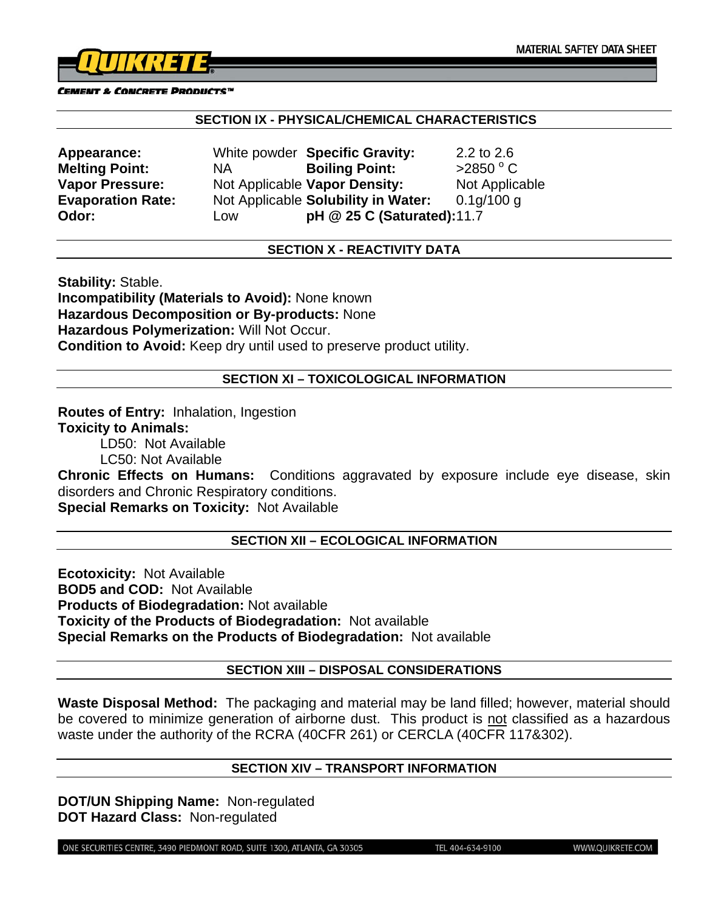

#### CEMENT & CONCRETE PRODUCTS™

#### **SECTION IX - PHYSICAL/CHEMICAL CHARACTERISTICS**

| Appearance:              |
|--------------------------|
| <b>Melting Point:</b>    |
| <b>Vapor Pressure:</b>   |
| <b>Evaporation Rate:</b> |
| Odor:                    |

**Appearance:** White powder **Specific Gravity:** 2.2 to 2.6 **NA Boiling Point:**  $>2850$  °C Not Applicable **Vapor Density:** Not Applicable Not Applicable **Solubility in Water:** 0.1g/100 g **Odor:** Low **pH @ 25 C (Saturated):** 11.7

# **SECTION X - REACTIVITY DATA**

**Stability:** Stable. **Incompatibility (Materials to Avoid):** None known **Hazardous Decomposition or By-products:** None **Hazardous Polymerization:** Will Not Occur. **Condition to Avoid:** Keep dry until used to preserve product utility.

#### **SECTION XI – TOXICOLOGICAL INFORMATION**

**Routes of Entry:** Inhalation, Ingestion **Toxicity to Animals:** 

LD50: Not Available

LC50: Not Available

**Chronic Effects on Humans:** Conditions aggravated by exposure include eye disease, skin disorders and Chronic Respiratory conditions.

**Special Remarks on Toxicity:** Not Available

#### **SECTION XII – ECOLOGICAL INFORMATION**

**Ecotoxicity:** Not Available **BOD5 and COD:** Not Available **Products of Biodegradation:** Not available **Toxicity of the Products of Biodegradation:** Not available **Special Remarks on the Products of Biodegradation:** Not available

#### **SECTION XIII – DISPOSAL CONSIDERATIONS**

**Waste Disposal Method:** The packaging and material may be land filled; however, material should be covered to minimize generation of airborne dust. This product is not classified as a hazardous waste under the authority of the RCRA (40CFR 261) or CERCLA (40CFR 117&302).

#### **SECTION XIV – TRANSPORT INFORMATION**

**DOT/UN Shipping Name:** Non-regulated **DOT Hazard Class:** Non-regulated

ONE SECURITIES CENTRE, 3490 PIEDMONT ROAD, SUITE 1300, ATLANTA, GA 30305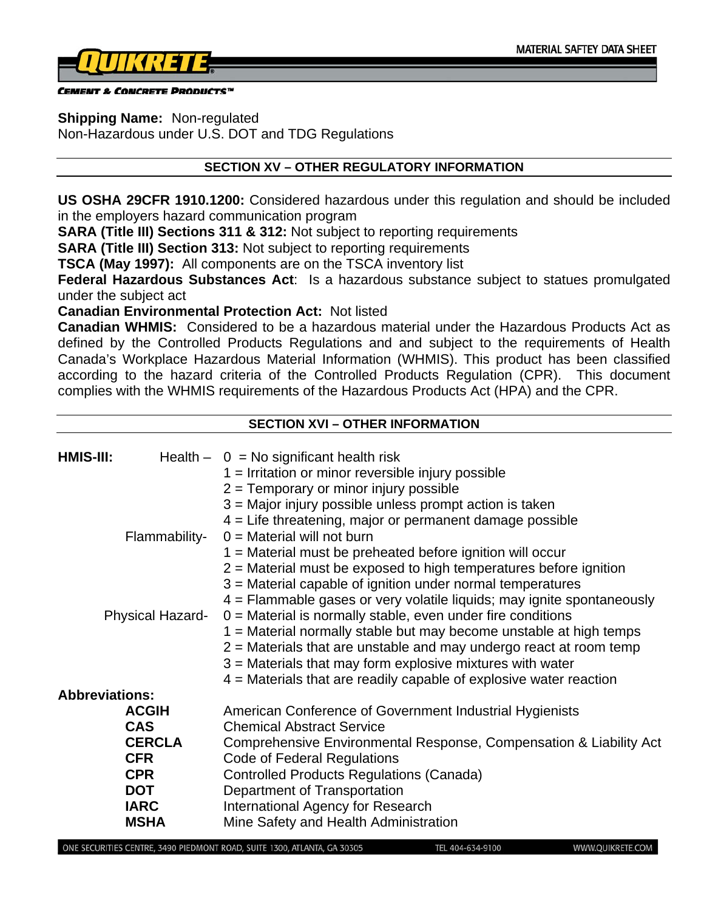

CEMENT & CONCRETE PRODUCTS™

**Shipping Name:** Non-regulated

Non-Hazardous under U.S. DOT and TDG Regulations

#### **SECTION XV – OTHER REGULATORY INFORMATION**

**US OSHA 29CFR 1910.1200:** Considered hazardous under this regulation and should be included in the employers hazard communication program

**SARA (Title III) Sections 311 & 312:** Not subject to reporting requirements

**SARA (Title III) Section 313:** Not subject to reporting requirements

**TSCA (May 1997):** All components are on the TSCA inventory list

**Federal Hazardous Substances Act**: Is a hazardous substance subject to statues promulgated under the subject act

**Canadian Environmental Protection Act:** Not listed

**Canadian WHMIS:** Considered to be a hazardous material under the Hazardous Products Act as defined by the Controlled Products Regulations and and subject to the requirements of Health Canada's Workplace Hazardous Material Information (WHMIS). This product has been classified according to the hazard criteria of the Controlled Products Regulation (CPR). This document complies with the WHMIS requirements of the Hazardous Products Act (HPA) and the CPR.

# **SECTION XVI – OTHER INFORMATION**

| HMIS-III: |                         | Health $- 0 = No$ significant health risk                              |
|-----------|-------------------------|------------------------------------------------------------------------|
|           |                         | $1 =$ Irritation or minor reversible injury possible                   |
|           |                         | $2$ = Temporary or minor injury possible                               |
|           |                         | $3$ = Major injury possible unless prompt action is taken              |
|           |                         | 4 = Life threatening, major or permanent damage possible               |
|           | Flammability-           | $0 =$ Material will not burn                                           |
|           |                         | $1 =$ Material must be preheated before ignition will occur            |
|           |                         | $2$ = Material must be exposed to high temperatures before ignition    |
|           |                         | 3 = Material capable of ignition under normal temperatures             |
|           |                         | 4 = Flammable gases or very volatile liquids; may ignite spontaneously |
|           | <b>Physical Hazard-</b> | $0 =$ Material is normally stable, even under fire conditions          |
|           |                         | 1 = Material normally stable but may become unstable at high temps     |
|           |                         | $2$ = Materials that are unstable and may undergo react at room temp   |
|           |                         | $3$ = Materials that may form explosive mixtures with water            |
|           |                         | $4$ = Materials that are readily capable of explosive water reaction   |
|           | <b>Abbreviations:</b>   |                                                                        |
|           | <b>ACGIH</b>            | American Conference of Government Industrial Hygienists                |
|           | <b>CAS</b>              | <b>Chemical Abstract Service</b>                                       |
|           | <b>CERCLA</b>           | Comprehensive Environmental Response, Compensation & Liability Act     |
|           | <b>CFR</b>              | Code of Federal Regulations                                            |
|           | <b>CPR</b>              | <b>Controlled Products Regulations (Canada)</b>                        |
|           | <b>DOT</b>              | Department of Transportation                                           |
|           | <b>IARC</b>             | International Agency for Research                                      |
|           | <b>MSHA</b>             | Mine Safety and Health Administration                                  |

TEL 404-634-9100